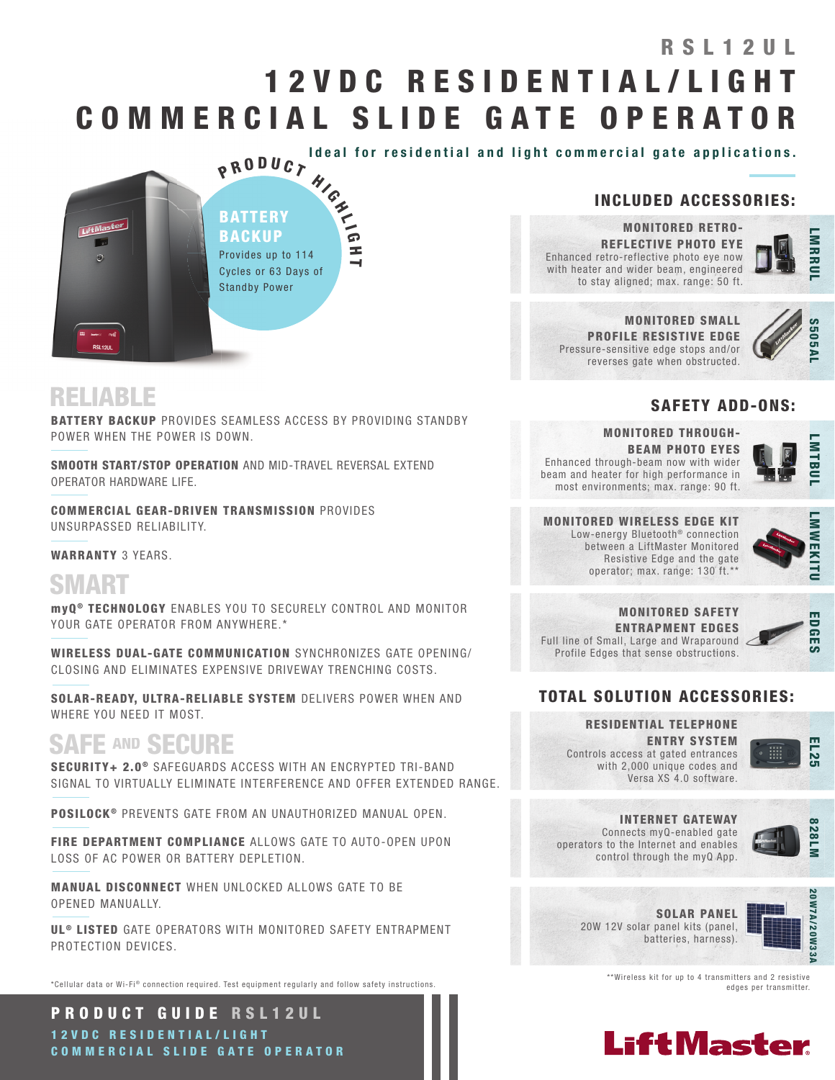# 1 2 V D C R E S I D E N T I A L / L I G H T COMMERCIAL SLIDE GATE OPERATOR RSI 1 2 UL

Ideal for residential and light commercial gate applications.



## RELIABLE

BATTERY BACKUP PROVIDES SEAMLESS ACCESS BY PROVIDING STANDBY POWER WHEN THE POWER IS DOWN.

SMOOTH START/STOP OPERATION AND MID-TRAVEL REVERSAL EXTEND OPERATOR HARDWARE LIFE.

COMMERCIAL GEAR-DRIVEN TRANSMISSION PROVIDES UNSURPASSED RELIABILITY.

WARRANTY 3 YEARS.

## SMART

myQ ® TECHNOLOGY ENABLES YOU TO SECURELY CONTROL AND MONITOR YOUR GATE OPERATOR FROM ANYWHERE.\*

WIRELESS DUAL-GATE COMMUNICATION SYNCHRONIZES GATE OPENING/ CLOSING AND ELIMINATES EXPENSIVE DRIVEWAY TRENCHING COSTS.

SOLAR-READY, ULTRA-RELIABLE SYSTEM DELIVERS POWER WHEN AND WHERE YOU NEED IT MOST.

## SAFE AND SECURE

SECURITY+ 2.0<sup>®</sup> SAFEGUARDS ACCESS WITH AN ENCRYPTED TRI-BAND SIGNAL TO VIRTUALLY ELIMINATE INTERFERENCE AND OFFER EXTENDED RANGE.

POSILOCK<sup>®</sup> PREVENTS GATE FROM AN UNAUTHORIZED MANUAL OPEN.

FIRE DEPARTMENT COMPLIANCE ALLOWS GATE TO AUTO-OPEN UPON LOSS OF AC POWER OR BATTERY DEPLETION.

MANUAL DISCONNECT WHEN UNLOCKED ALLOWS GATE TO BE OPENED MANUALLY.

**UL<sup>®</sup> LISTED** GATE OPERATORS WITH MONITORED SAFETY ENTRAPMENT PROTECTION DEVICES.

\*Cellular data or Wi-Fi® connection required. Test equipment reqularly and follow safety instructions.

PRODUCT GUIDE RSL12UL 1 2 V D C R E S I D E N T I A L / L I G H T COMMERCIAL SLIDE GATE OPERATOR

### INCLUDED ACCESSORIES:

MONITORED SMALL PROFILE RESISTIVE EDGE Pressure-sensitive edge stops and/or reverses gate when obstructed.

MONITORED RETRO-REFLECTIVE PHOTO EYE Enhanced retro-reflective photo eye now with heater and wider beam, engineered to stay aligned; max. range: 50 ft.

**NRRU** 



### SAFETY ADD-ONS:

MONITORED THROUGH-BEAM PHOTO EYES Enhanced through-beam now with wider beam and heater for high performance in most environments; max. range: 90 ft.



#### MONITORED WIRELESS EDGE KIT Low-energy Bluetooth<sup>®</sup> connection between a LiftMaster Monitored Resistive Edge and the gate operator; max. range: 130 ft.\*\*



MONITORED SAFETY ENTRAPMENT EDGES Full line of Small, Large and Wraparound Profile Edges that sense obstructions.



### TOTAL SOLUTION ACCESSORIES:

RESIDENTIAL TELEPHONE ENTRY SYSTEM Controls access at gated entrances with 2,000 unique codes and Versa XS 4.0 software.



INTERNET GATEWAY Connects myQ-enabled gate operators to the Internet and enables



control through the myQ App.



20W 12V solar panel kits (panel, batteries, harness).

SOLAR PANEL

\*\*Wireless kit for up to 4 transmitters and 2 resistive edges per transmitter.